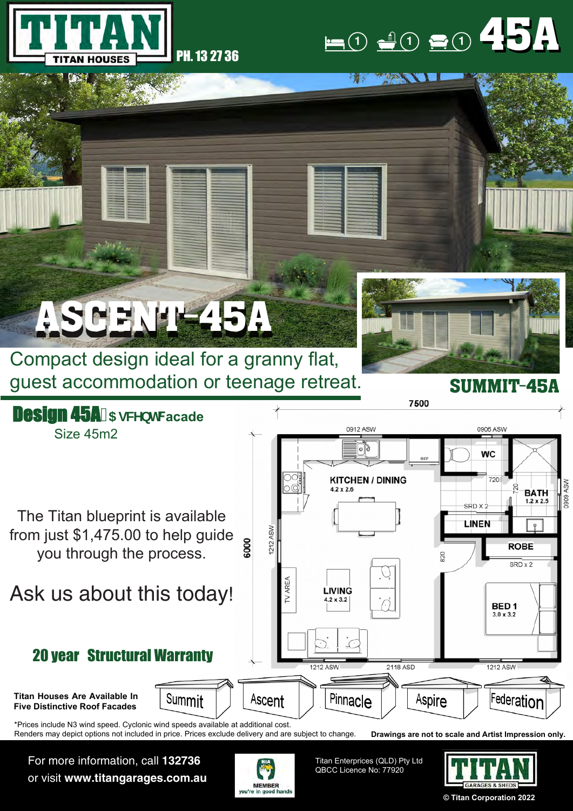

## **1**  $\frac{1}{2}$  (1) **1** (1 45A

**CONSTRUCTION** 

精神

## ASCENT-45A

Compact design ideal for a granny flat, guest accommodation or teenage retreat.



SUMMIT-45A



For more information, call **132736** or visit **www.titangarages.com.au**



Titan Enterprices (QLD) Pty Ltd QBCC Licence No: 77920



**© Titan Corporation 2022**